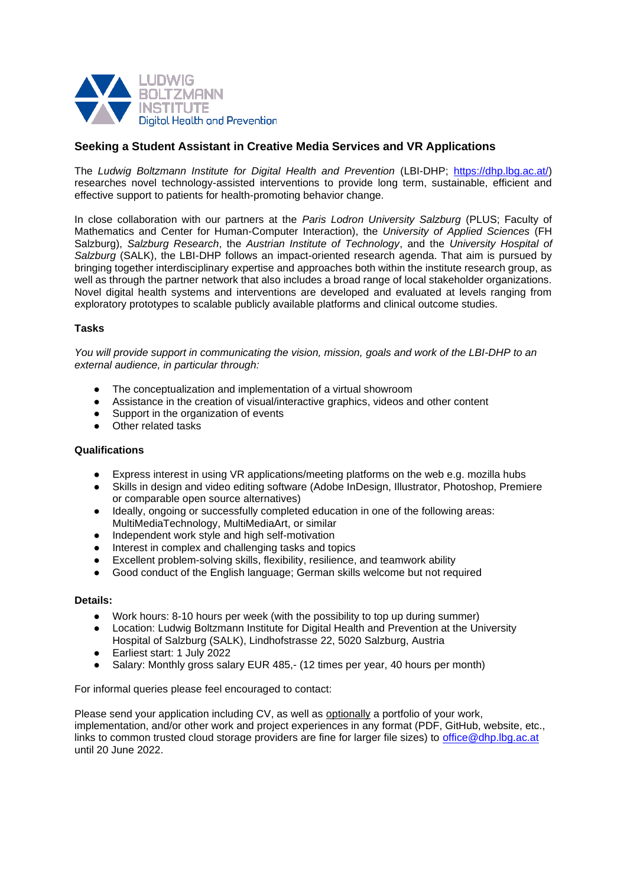

## **Seeking a Student Assistant in Creative Media Services and VR Applications**

The *Ludwig Boltzmann Institute for Digital Health and Prevention* (LBI-DHP; [https://dhp.lbg.ac.at/\)](https://dhp.lbg.ac.at/) researches novel technology-assisted interventions to provide long term, sustainable, efficient and effective support to patients for health-promoting behavior change.

In close collaboration with our partners at the *Paris Lodron University Salzburg* (PLUS; Faculty of Mathematics and Center for Human-Computer Interaction), the *University of Applied Sciences* (FH Salzburg), *Salzburg Research*, the *Austrian Institute of Technology*, and the *University Hospital of Salzburg* (SALK), the LBI-DHP follows an impact-oriented research agenda. That aim is pursued by bringing together interdisciplinary expertise and approaches both within the institute research group, as well as through the partner network that also includes a broad range of local stakeholder organizations. Novel digital health systems and interventions are developed and evaluated at levels ranging from exploratory prototypes to scalable publicly available platforms and clinical outcome studies.

## **Tasks**

*You will provide support in communicating the vision, mission, goals and work of the LBI-DHP to an external audience, in particular through:*

- The conceptualization and implementation of a virtual showroom<br>● Assistance in the creation of visual/interactive graphics videos are
- Assistance in the creation of visual/interactive graphics, videos and other content
- Support in the organization of events
- Other related tasks

## **Qualifications**

- Express interest in using VR applications/meeting platforms on the web e.g. mozilla hubs
- Skills in design and video editing software (Adobe InDesign, Illustrator, Photoshop, Premiere or comparable open source alternatives)
- Ideally, ongoing or successfully completed education in one of the following areas: MultiMediaTechnology, MultiMediaArt, or similar
- Independent work style and high self-motivation
- Interest in complex and challenging tasks and topics
- Excellent problem-solving skills, flexibility, resilience, and teamwork ability
- Good conduct of the English language; German skills welcome but not required

## **Details:**

- Work hours: 8-10 hours per week (with the possibility to top up during summer)
- Location: Ludwig Boltzmann Institute for Digital Health and Prevention at the University Hospital of Salzburg (SALK), Lindhofstrasse 22, 5020 Salzburg, Austria
- Earliest start: 1 July 2022
- Salary: Monthly gross salary EUR 485,- (12 times per year, 40 hours per month)

For informal queries please feel encouraged to contact:

Please send your application including CV, as well as optionally a portfolio of your work, implementation, and/or other work and project experiences in any format (PDF, GitHub, website, etc., links to common trusted cloud storage providers are fine for larger file sizes) to [office@dhp.lbg.ac.at](mailto:office@dhp.lbg.ac.at) until 20 June 2022.